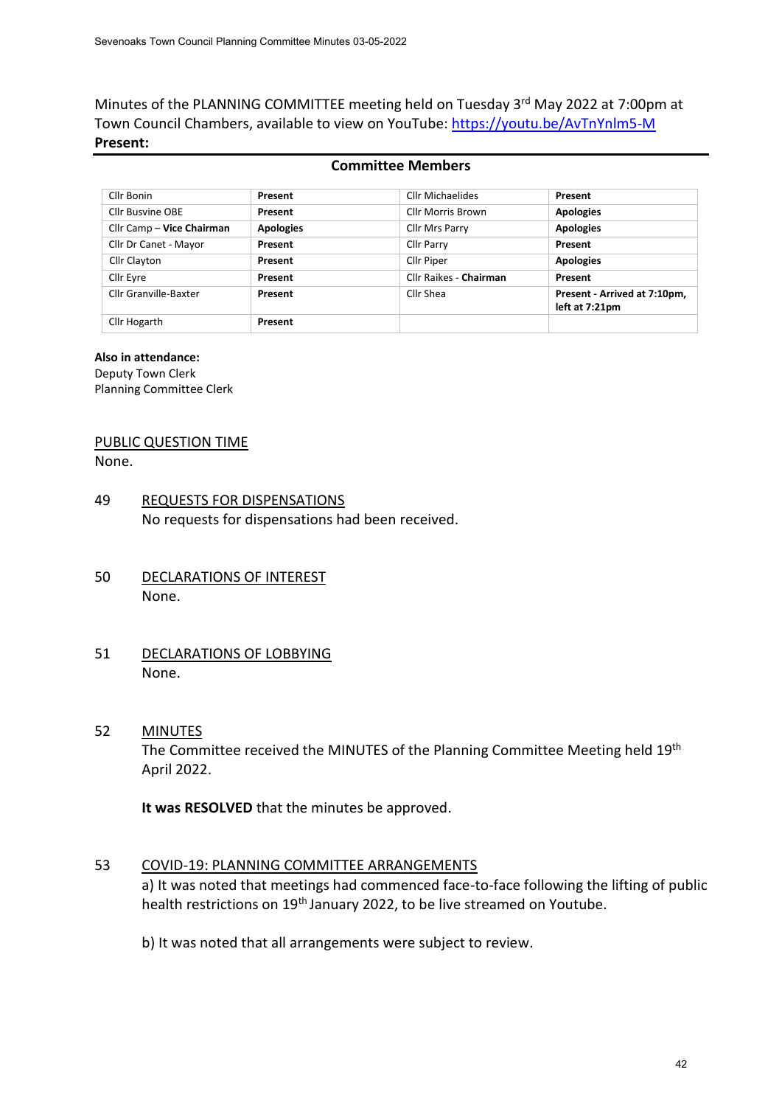Minutes of the PLANNING COMMITTEE meeting held on Tuesday 3rd May 2022 at 7:00pm at Town Council Chambers, available to view on YouTube: <https://youtu.be/AvTnYnlm5-M> **Present:**

### **Committee Members**

| Cllr Bonin                | Present          | Cllr Michaelides       | Present                                        |
|---------------------------|------------------|------------------------|------------------------------------------------|
| <b>Cllr Busvine OBE</b>   | Present          | Cllr Morris Brown      | <b>Apologies</b>                               |
| Cllr Camp - Vice Chairman | <b>Apologies</b> | Cllr Mrs Parry         | <b>Apologies</b>                               |
| Cllr Dr Canet - Mayor     | Present          | <b>Cllr Parry</b>      | Present                                        |
| Cllr Clayton              | Present          | Cllr Piper             | <b>Apologies</b>                               |
| Cllr Eyre                 | Present          | Cllr Raikes - Chairman | Present                                        |
| Cllr Granville-Baxter     | Present          | Cllr Shea              | Present - Arrived at 7:10pm,<br>left at 7:21pm |
| Cllr Hogarth              | Present          |                        |                                                |

### **Also in attendance:**

Deputy Town Clerk Planning Committee Clerk

# PUBLIC QUESTION TIME

None.

- 49 REQUESTS FOR DISPENSATIONS No requests for dispensations had been received.
- 50 DECLARATIONS OF INTEREST None.
- 51 DECLARATIONS OF LOBBYING None.

### 52 MINUTES

The Committee received the MINUTES of the Planning Committee Meeting held 19<sup>th</sup> April 2022.

**It was RESOLVED** that the minutes be approved.

## 53 COVID-19: PLANNING COMMITTEE ARRANGEMENTS a) It was noted that meetings had commenced face-to-face following the lifting of public health restrictions on 19<sup>th</sup> January 2022, to be live streamed on Youtube.

b) It was noted that all arrangements were subject to review.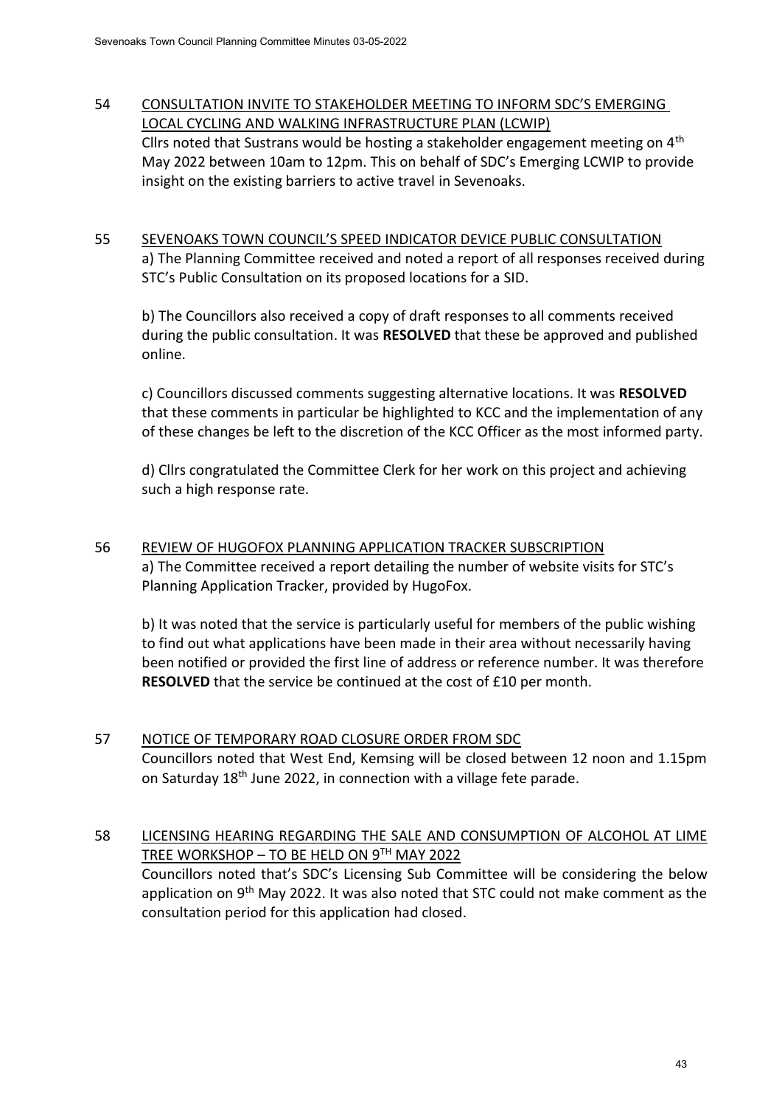# 54 CONSULTATION INVITE TO STAKEHOLDER MEETING TO INFORM SDC'S EMERGING LOCAL CYCLING AND WALKING INFRASTRUCTURE PLAN (LCWIP)

Cllrs noted that Sustrans would be hosting a stakeholder engagement meeting on  $4<sup>th</sup>$ May 2022 between 10am to 12pm. This on behalf of SDC's Emerging LCWIP to provide insight on the existing barriers to active travel in Sevenoaks.

# 55 SEVENOAKS TOWN COUNCIL'S SPEED INDICATOR DEVICE PUBLIC CONSULTATION a) The Planning Committee received and noted a report of all responses received during STC's Public Consultation on its proposed locations for a SID.

b) The Councillors also received a copy of draft responses to all comments received during the public consultation. It was **RESOLVED** that these be approved and published online.

c) Councillors discussed comments suggesting alternative locations. It was **RESOLVED**  that these comments in particular be highlighted to KCC and the implementation of any of these changes be left to the discretion of the KCC Officer as the most informed party.

d) Cllrs congratulated the Committee Clerk for her work on this project and achieving such a high response rate.

56 REVIEW OF HUGOFOX PLANNING APPLICATION TRACKER SUBSCRIPTION a) The Committee received a report detailing the number of website visits for STC's Planning Application Tracker, provided by HugoFox.

b) It was noted that the service is particularly useful for members of the public wishing to find out what applications have been made in their area without necessarily having been notified or provided the first line of address or reference number. It was therefore **RESOLVED** that the service be continued at the cost of £10 per month.

57 NOTICE OF TEMPORARY ROAD CLOSURE ORDER FROM SDC Councillors noted that West End, Kemsing will be closed between 12 noon and 1.15pm on Saturday 18th June 2022, in connection with a village fete parade.

# 58 LICENSING HEARING REGARDING THE SALE AND CONSUMPTION OF ALCOHOL AT LIME TREE WORKSHOP – TO BE HELD ON 9TH MAY 2022 Councillors noted that's SDC's Licensing Sub Committee will be considering the below application on  $9<sup>th</sup>$  May 2022. It was also noted that STC could not make comment as the consultation period for this application had closed.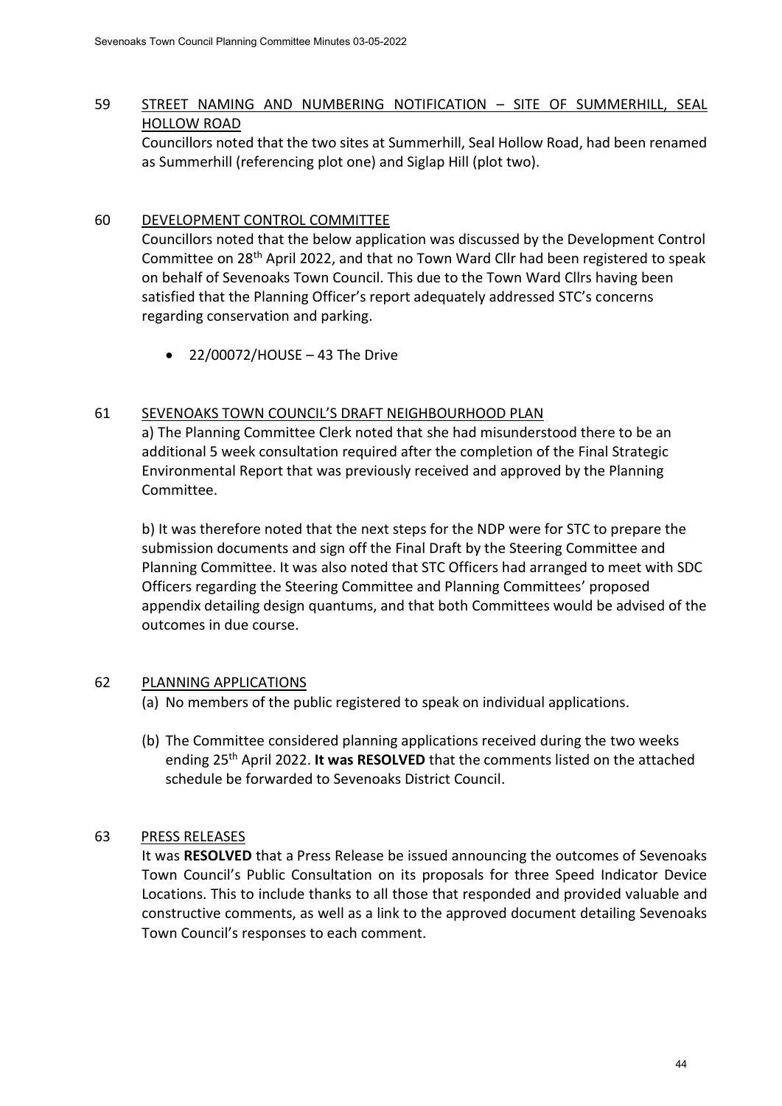# 59 STREET NAMING AND NUMBERING NOTIFICATION – SITE OF SUMMERHILL, SEAL HOLLOW ROAD

Councillors noted that the two sites at Summerhill, Seal Hollow Road, had been renamed as Summerhill (referencing plot one) and Siglap Hill (plot two).

## 60 DEVELOPMENT CONTROL COMMITTEE

Councillors noted that the below application was discussed by the Development Control Committee on 28th April 2022, and that no Town Ward Cllr had been registered to speak on behalf of Sevenoaks Town Council. This due to the Town Ward Cllrs having been satisfied that the Planning Officer's report adequately addressed STC's concerns regarding conservation and parking.

• 22/00072/HOUSE – 43 The Drive

## 61 SEVENOAKS TOWN COUNCIL'S DRAFT NEIGHBOURHOOD PLAN

a) The Planning Committee Clerk noted that she had misunderstood there to be an additional 5 week consultation required after the completion of the Final Strategic Environmental Report that was previously received and approved by the Planning Committee.

b) It was therefore noted that the next steps for the NDP were for STC to prepare the submission documents and sign off the Final Draft by the Steering Committee and Planning Committee. It was also noted that STC Officers had arranged to meet with SDC Officers regarding the Steering Committee and Planning Committees' proposed appendix detailing design quantums, and that both Committees would be advised of the outcomes in due course.

### 62 PLANNING APPLICATIONS

- (a) No members of the public registered to speak on individual applications.
- (b) The Committee considered planning applications received during the two weeks ending 25th April 2022. **It was RESOLVED** that the comments listed on the attached schedule be forwarded to Sevenoaks District Council.

### 63 PRESS RELEASES

It was **RESOLVED** that a Press Release be issued announcing the outcomes of Sevenoaks Town Council's Public Consultation on its proposals for three Speed Indicator Device Locations. This to include thanks to all those that responded and provided valuable and constructive comments, as well as a link to the approved document detailing Sevenoaks Town Council's responses to each comment.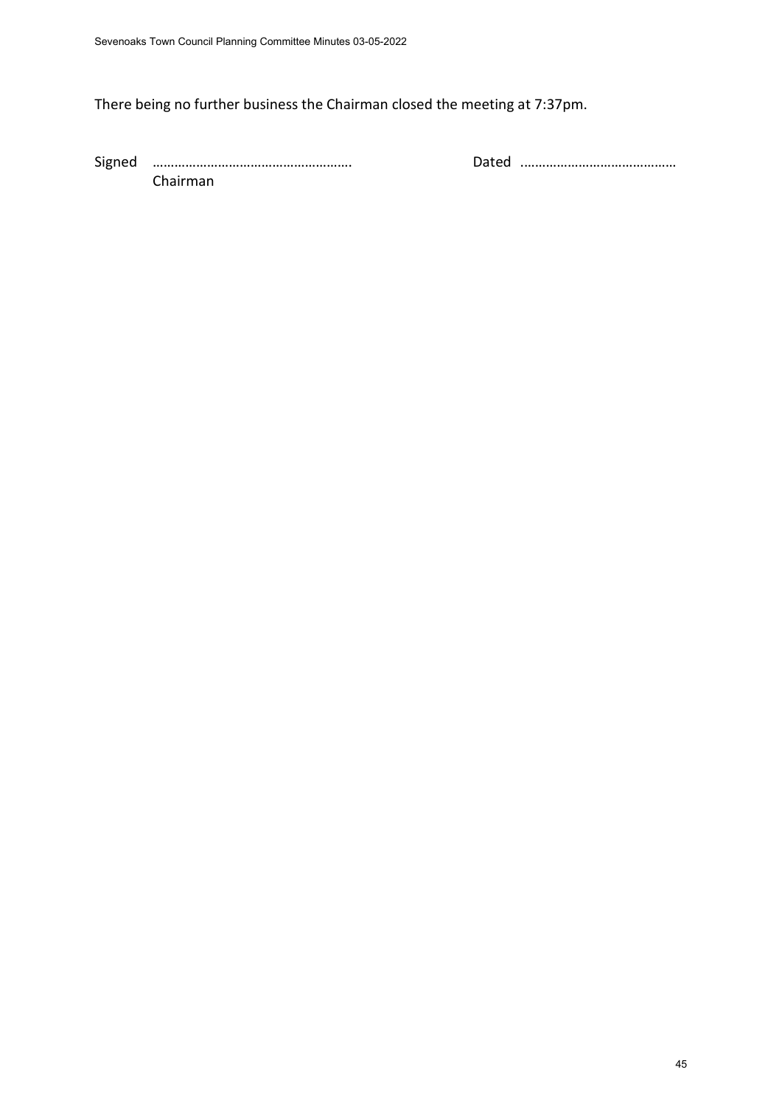# There being no further business the Chairman closed the meeting at 7:37pm.

Signed ………………………………………………. Dated .…………………………………… Chairman

45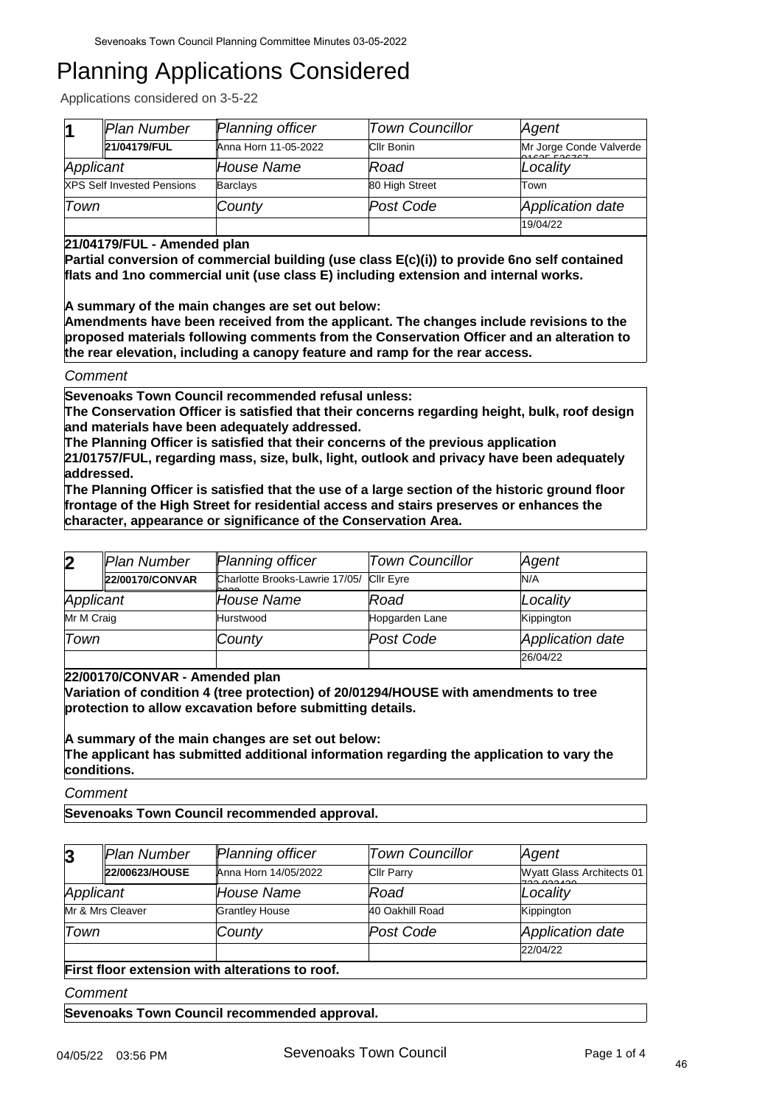Applications considered on 3-5-22

|           | Plan Number                       | <b>Planning officer</b> | <b>Town Councillor</b> | Agent                                 |
|-----------|-----------------------------------|-------------------------|------------------------|---------------------------------------|
|           | 21/04179/FUL                      | Anna Horn 11-05-2022    | Cllr Bonin             | Mr Jorge Conde Valverde<br>0400550222 |
| Applicant |                                   | House Name              | Road                   | Locality                              |
|           | <b>XPS Self Invested Pensions</b> | <b>Barclays</b>         | 80 High Street         | Town                                  |
| Town      |                                   | County                  | Post Code              | Application date                      |
|           |                                   |                         |                        | 19/04/22                              |

### **21/04179/FUL - Amended plan**

**Partial conversion of commercial building (use class E(c)(i)) to provide 6no self contained flats and 1no commercial unit (use class E) including extension and internal works.**

**A summary of the main changes are set out below:** 

**Amendments have been received from the applicant. The changes include revisions to the proposed materials following comments from the Conservation Officer and an alteration to the rear elevation, including a canopy feature and ramp for the rear access.**

### *Comment*

**Sevenoaks Town Council recommended refusal unless:** 

**The Conservation Officer is satisfied that their concerns regarding height, bulk, roof design and materials have been adequately addressed.**

**The Planning Officer is satisfied that their concerns of the previous application** 

**21/01757/FUL, regarding mass, size, bulk, light, outlook and privacy have been adequately addressed.**

**The Planning Officer is satisfied that the use of a large section of the historic ground floor frontage of the High Street for residential access and stairs preserves or enhances the character, appearance or significance of the Conservation Area.**

| $\overline{\mathbf{2}}$ | Plan Number     | <b>Planning officer</b>                          | <b>Town Councillor</b> | Agent            |
|-------------------------|-----------------|--------------------------------------------------|------------------------|------------------|
|                         | 22/00170/CONVAR | Charlotte Brooks-Lawrie 17/05/ Cllr Eyre<br>hooo |                        | N/A              |
| Applicant               |                 | House Name                                       | Road                   | Locality         |
| Mr M Craig              |                 | Hurstwood                                        | Hopgarden Lane         | Kippington       |
| Town                    |                 | County                                           | Post Code              | Application date |
|                         |                 |                                                  |                        | 26/04/22         |

**22/00170/CONVAR - Amended plan**

**Variation of condition 4 (tree protection) of 20/01294/HOUSE with amendments to tree protection to allow excavation before submitting details.**

### **A summary of the main changes are set out below: The applicant has submitted additional information regarding the application to vary the conditions.**

*Comment*

**Sevenoaks Town Council recommended approval.**

| $\overline{\mathbf{3}}$                        | Plan Number      | <b>Planning officer</b> | <b>Town Councillor</b> | Agent                                   |  |
|------------------------------------------------|------------------|-------------------------|------------------------|-----------------------------------------|--|
|                                                | 22/00623/HOUSE   | Anna Horn 14/05/2022    | <b>CIIr Parry</b>      | Wyatt Glass Architects 01<br>700.000100 |  |
| Applicant                                      |                  | <b>House Name</b>       | Road                   | Locality                                |  |
|                                                | Mr & Mrs Cleaver | <b>Grantley House</b>   | 40 Oakhill Road        | Kippington                              |  |
| Town                                           |                  | County                  | Post Code              | Application date                        |  |
|                                                |                  |                         |                        | 22/04/22                                |  |
| First floor extension with alterations to roof |                  |                         |                        |                                         |  |

#### **First flo**

*Comment*

**Sevenoaks Town Council recommended approval.**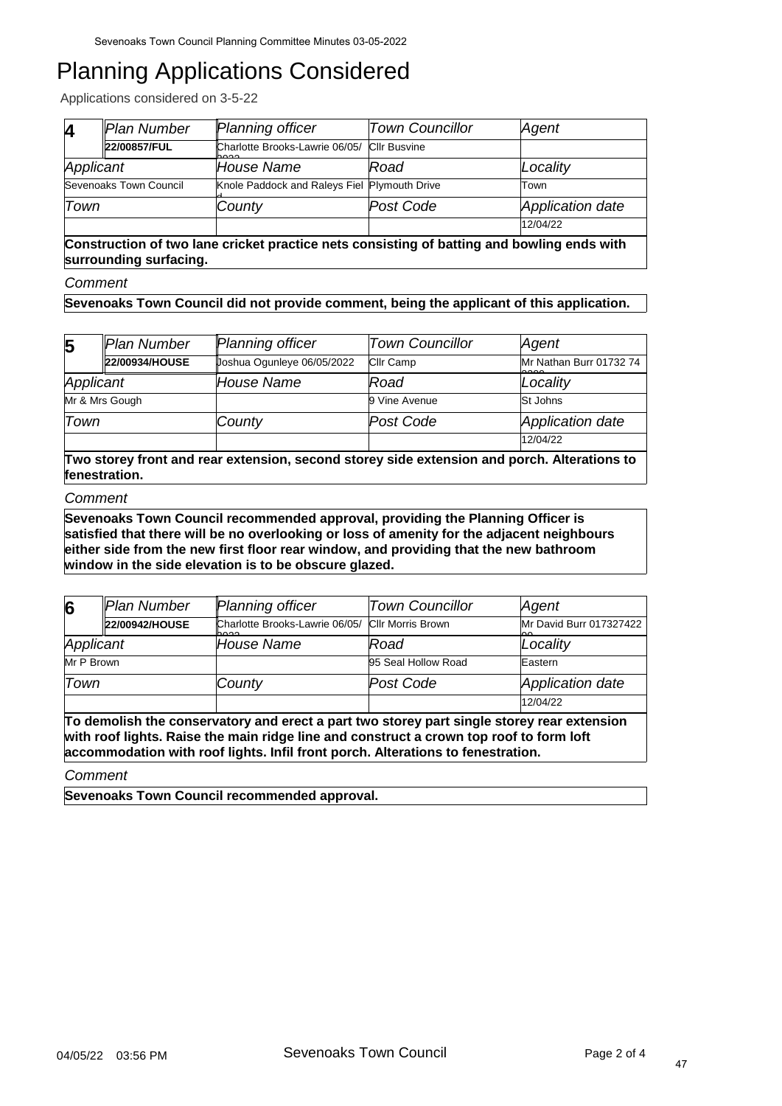Applications considered on 3-5-22

| M         | Plan Number            | Planning officer                                    | <b>Town Councillor</b> | Agent            |
|-----------|------------------------|-----------------------------------------------------|------------------------|------------------|
|           | 22/00857/FUL           | Charlotte Brooks-Lawrie 06/05/ Cllr Busvine<br>nnnn |                        |                  |
| Applicant |                        | House Name                                          | Road                   | Locality         |
|           | Sevenoaks Town Council | Knole Paddock and Raleys Fiel Plymouth Drive        |                        | Town             |
| Town      |                        | County                                              | Post Code              | Application date |
|           |                        |                                                     |                        | 12/04/22         |

**Construction of two lane cricket practice nets consisting of batting and bowling ends with surrounding surfacing.**

*Comment*

**Sevenoaks Town Council did not provide comment, being the applicant of this application.**

| $\overline{\mathbf{5}}$ | Plan Number                                                                                                  | <b>Planning officer</b>    | <b>Town Councillor</b> | Agent                           |  |  |
|-------------------------|--------------------------------------------------------------------------------------------------------------|----------------------------|------------------------|---------------------------------|--|--|
|                         | 22/00934/HOUSE                                                                                               | Joshua Ogunleye 06/05/2022 | <b>Cllr Camp</b>       | Mr Nathan Burr 01732 74<br>مممم |  |  |
| Applicant               |                                                                                                              | House Name                 | Road                   | Locality                        |  |  |
|                         | Mr & Mrs Gough                                                                                               |                            | 9 Vine Avenue          | St Johns                        |  |  |
| Town                    |                                                                                                              | County                     | Post Code              | Application date                |  |  |
|                         |                                                                                                              |                            |                        | 12/04/22                        |  |  |
|                         | Two storey front and rear extension, second storey side extension and porch. Alterations to<br>fenestration. |                            |                        |                                 |  |  |

#### *Comment*

**Sevenoaks Town Council recommended approval, providing the Planning Officer is satisfied that there will be no overlooking or loss of amenity for the adjacent neighbours either side from the new first floor rear window, and providing that the new bathroom window in the side elevation is to be obscure glazed.**

| 6          | Plan Number    | Planning officer                       | <b>Town Councillor</b>   | Agent                   |
|------------|----------------|----------------------------------------|--------------------------|-------------------------|
|            | 22/00942/HOUSE | Charlotte Brooks-Lawrie 06/05/<br>حممط | <b>CIIr Morris Brown</b> | Mr David Burr 017327422 |
| Applicant  |                | House Name                             | Road                     | Locality                |
| Mr P Brown |                |                                        | 95 Seal Hollow Road      | Eastern                 |
| Town       |                | County                                 | Post Code                | Application date        |
|            |                |                                        |                          | 12/04/22                |

**To demolish the conservatory and erect a part two storey part single storey rear extension with roof lights. Raise the main ridge line and construct a crown top roof to form loft accommodation with roof lights. Infil front porch. Alterations to fenestration.**

*Comment*

**Sevenoaks Town Council recommended approval.**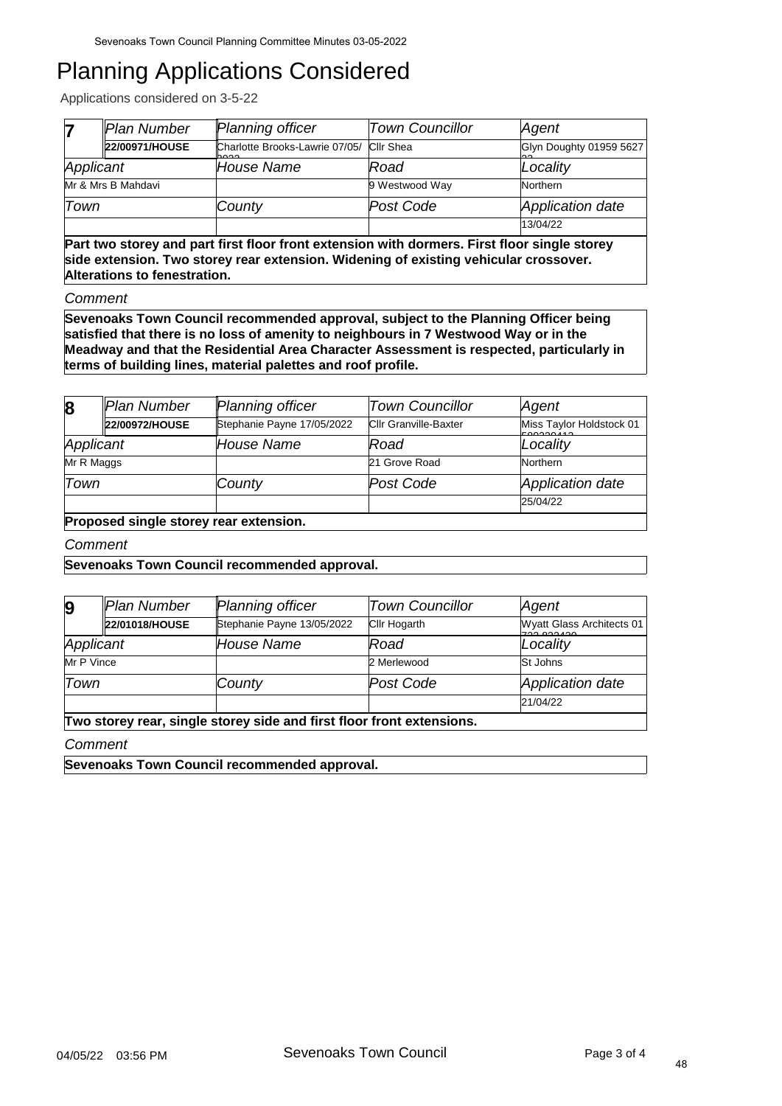Applications considered on 3-5-22

|           | Plan Number                                                                                  | Planning officer                       | <b>Town Councillor</b> | Agent                   |  |
|-----------|----------------------------------------------------------------------------------------------|----------------------------------------|------------------------|-------------------------|--|
|           | 22/00971/HOUSE                                                                               | Charlotte Brooks-Lawrie 07/05/<br>nnnn | <b>Cllr Shea</b>       | Glyn Doughty 01959 5627 |  |
| Applicant |                                                                                              | House Name                             | Road                   | Locality                |  |
|           | Mr & Mrs B Mahdavi                                                                           |                                        | 9 Westwood Way         | Northern                |  |
| Town      |                                                                                              | County                                 | Post Code              | Application date        |  |
|           |                                                                                              |                                        |                        | 13/04/22                |  |
|           | Dart two storey and nart first floor front extension with dormers. Eirst floor single storey |                                        |                        |                         |  |

**Part two storey and part first floor front extension with dormers. First floor single storey side extension. Two storey rear extension. Widening of existing vehicular crossover. Alterations to fenestration.**

*Comment*

**Sevenoaks Town Council recommended approval, subject to the Planning Officer being satisfied that there is no loss of amenity to neighbours in 7 Westwood Way or in the Meadway and that the Residential Area Character Assessment is respected, particularly in terms of building lines, material palettes and roof profile.**

| $\boldsymbol{8}$                       | Plan Number    | <b>Planning officer</b>    | <b>Town Councillor</b>       | Agent                                 |  |
|----------------------------------------|----------------|----------------------------|------------------------------|---------------------------------------|--|
|                                        | 22/00972/HOUSE | Stephanie Payne 17/05/2022 | <b>Cllr Granville-Baxter</b> | Miss Taylor Holdstock 01<br>500000000 |  |
| Applicant                              |                | House Name                 | Road                         | Locality                              |  |
| Mr R Maggs                             |                |                            | 21 Grove Road                | Northern                              |  |
| Town                                   |                | County                     | Post Code                    | Application date                      |  |
|                                        |                |                            |                              | 25/04/22                              |  |
| Proposed single storey rear extension. |                |                            |                              |                                       |  |

*Comment*

### **Sevenoaks Town Council recommended approval.**

| $\boldsymbol{9}$ | Plan Number                                                           | <b>Planning officer</b>    | <b>Town Councillor</b> | Agent                                    |  |  |
|------------------|-----------------------------------------------------------------------|----------------------------|------------------------|------------------------------------------|--|--|
|                  | 22/01018/HOUSE                                                        | Stephanie Payne 13/05/2022 | Cllr Hogarth           | Wyatt Glass Architects 01<br>700.000.100 |  |  |
| Applicant        |                                                                       | House Name                 | Road                   | Locality                                 |  |  |
| Mr P Vince       |                                                                       |                            | 2 Merlewood            | <b>St Johns</b>                          |  |  |
| Town             |                                                                       | County                     | Post Code              | Application date                         |  |  |
|                  |                                                                       |                            |                        | 21/04/22                                 |  |  |
|                  | Two storey rear, single storey side and first floor front extensions. |                            |                        |                                          |  |  |

*Comment*

**Sevenoaks Town Council recommended approval.**